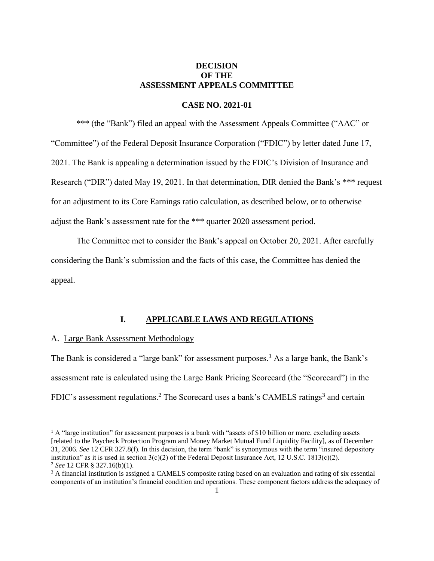## **DECISION OF THE ASSESSMENT APPEALS COMMITTEE**

### **CASE NO. 2021-01**

\*\*\* (the "Bank") filed an appeal with the Assessment Appeals Committee ("AAC" or "Committee") of the Federal Deposit Insurance Corporation ("FDIC") by letter dated June 17, 2021. The Bank is appealing a determination issued by the FDIC's Division of Insurance and Research ("DIR") dated May 19, 2021. In that determination, DIR denied the Bank's \*\*\* request for an adjustment to its Core Earnings ratio calculation, as described below, or to otherwise adjust the Bank's assessment rate for the \*\*\* quarter 2020 assessment period.

The Committee met to consider the Bank's appeal on October 20, 2021. After carefully considering the Bank's submission and the facts of this case, the Committee has denied the appeal.

## **I. APPLICABLE LAWS AND REGULATIONS**

### A. Large Bank Assessment Methodology

 $\overline{\phantom{a}}$ 

The Bank is considered a "large bank" for assessment purposes.<sup>1</sup> As a large bank, the Bank's assessment rate is calculated using the Large Bank Pricing Scorecard (the "Scorecard") in the FDIC's assessment regulations.<sup>2</sup> The Scorecard uses a bank's CAMELS ratings<sup>3</sup> and certain

<sup>&</sup>lt;sup>1</sup> A "large institution" for assessment purposes is a bank with "assets of \$10 billion or more, excluding assets [related to the Paycheck Protection Program and Money Market Mutual Fund Liquidity Facility], as of December 31, 2006. *See* 12 CFR 327.8(f). In this decision, the term "bank" is synonymous with the term "insured depository institution" as it is used in section  $3(c)(2)$  of the Federal Deposit Insurance Act, 12 U.S.C. 1813(c)(2). <sup>2</sup> *See* 12 CFR § 327.16(b)(1).

<sup>&</sup>lt;sup>3</sup> A financial institution is assigned a CAMELS composite rating based on an evaluation and rating of six essential components of an institution's financial condition and operations. These component factors address the adequacy of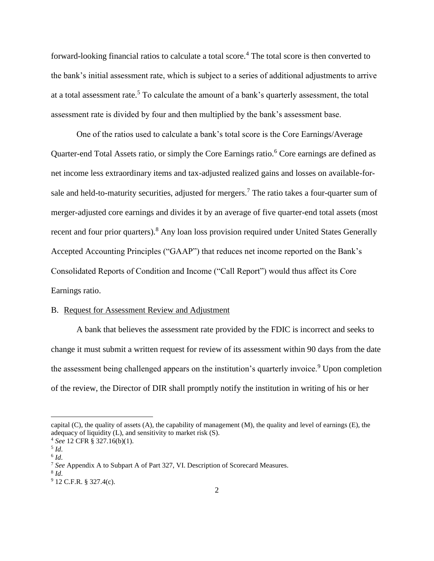forward-looking financial ratios to calculate a total score.<sup>4</sup> The total score is then converted to the bank's initial assessment rate, which is subject to a series of additional adjustments to arrive at a total assessment rate.<sup>5</sup> To calculate the amount of a bank's quarterly assessment, the total assessment rate is divided by four and then multiplied by the bank's assessment base.

One of the ratios used to calculate a bank's total score is the Core Earnings/Average Quarter-end Total Assets ratio, or simply the Core Earnings ratio.<sup>6</sup> Core earnings are defined as net income less extraordinary items and tax-adjusted realized gains and losses on available-forsale and held-to-maturity securities, adjusted for mergers.<sup>7</sup> The ratio takes a four-quarter sum of merger-adjusted core earnings and divides it by an average of five quarter-end total assets (most recent and four prior quarters).<sup>8</sup> Any loan loss provision required under United States Generally Accepted Accounting Principles ("GAAP") that reduces net income reported on the Bank's Consolidated Reports of Condition and Income ("Call Report") would thus affect its Core Earnings ratio.

## B. Request for Assessment Review and Adjustment

A bank that believes the assessment rate provided by the FDIC is incorrect and seeks to change it must submit a written request for review of its assessment within 90 days from the date the assessment being challenged appears on the institution's quarterly invoice.<sup>9</sup> Upon completion of the review, the Director of DIR shall promptly notify the institution in writing of his or her

capital (C), the quality of assets (A), the capability of management (M), the quality and level of earnings (E), the adequacy of liquidity (L), and sensitivity to market risk (S).

<sup>4</sup> *See* 12 CFR § 327.16(b)(1).

<sup>5</sup> *Id*. 6 *Id*.

<sup>7</sup> *See* Appendix A to Subpart A of Part 327, VI. Description of Scorecard Measures.

<sup>8</sup> *Id*.

 $9$  12 C.F.R. § 327.4(c).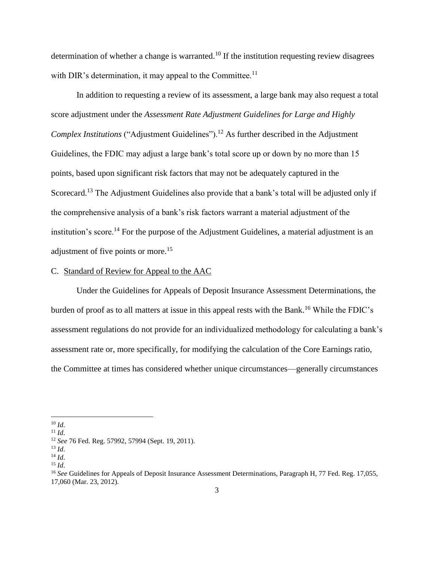determination of whether a change is warranted.<sup>10</sup> If the institution requesting review disagrees with DIR's determination, it may appeal to the Committee.<sup>11</sup>

In addition to requesting a review of its assessment, a large bank may also request a total score adjustment under the *Assessment Rate Adjustment Guidelines for Large and Highly Complex Institutions* ("Adjustment Guidelines").<sup>12</sup> As further described in the Adjustment Guidelines, the FDIC may adjust a large bank's total score up or down by no more than 15 points, based upon significant risk factors that may not be adequately captured in the Scorecard.<sup>13</sup> The Adjustment Guidelines also provide that a bank's total will be adjusted only if the comprehensive analysis of a bank's risk factors warrant a material adjustment of the institution's score.<sup>14</sup> For the purpose of the Adjustment Guidelines, a material adjustment is an adjustment of five points or more.<sup>15</sup>

## C. Standard of Review for Appeal to the AAC

Under the Guidelines for Appeals of Deposit Insurance Assessment Determinations, the burden of proof as to all matters at issue in this appeal rests with the Bank.<sup>16</sup> While the FDIC's assessment regulations do not provide for an individualized methodology for calculating a bank's assessment rate or, more specifically, for modifying the calculation of the Core Earnings ratio, the Committee at times has considered whether unique circumstances—generally circumstances

<sup>10</sup> *Id*.

 $11$  *Id.* 

<sup>12</sup> *See* 76 Fed. Reg. 57992, 57994 (Sept. 19, 2011).

<sup>13</sup> *Id*.

 $^{14}$  *Id.* 

 $^{15}$  *Id.* 

<sup>&</sup>lt;sup>16</sup> *See* Guidelines for Appeals of Deposit Insurance Assessment Determinations, Paragraph H, 77 Fed. Reg. 17,055, 17,060 (Mar. 23, 2012).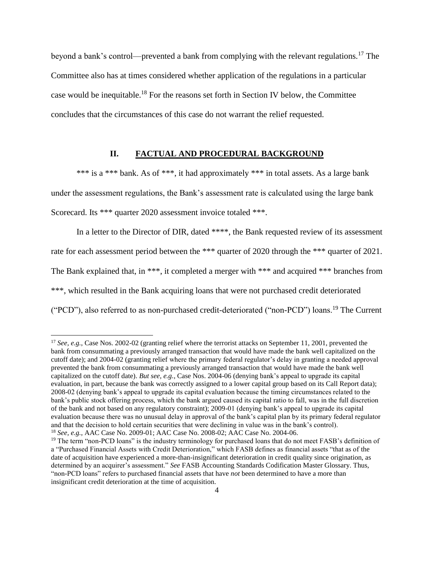beyond a bank's control—prevented a bank from complying with the relevant regulations.<sup>17</sup> The Committee also has at times considered whether application of the regulations in a particular case would be inequitable.<sup>18</sup> For the reasons set forth in Section IV below, the Committee concludes that the circumstances of this case do not warrant the relief requested.

# **II. FACTUAL AND PROCEDURAL BACKGROUND**

\*\*\* is a \*\*\* bank. As of \*\*\*, it had approximately \*\*\* in total assets. As a large bank under the assessment regulations, the Bank's assessment rate is calculated using the large bank Scorecard. Its \*\*\* quarter 2020 assessment invoice totaled \*\*\*.

In a letter to the Director of DIR, dated \*\*\*\*, the Bank requested review of its assessment rate for each assessment period between the \*\*\* quarter of 2020 through the \*\*\* quarter of 2021. The Bank explained that, in \*\*\*, it completed a merger with \*\*\* and acquired \*\*\* branches from \*\*\*, which resulted in the Bank acquiring loans that were not purchased credit deteriorated ("PCD"), also referred to as non-purchased credit-deteriorated ("non-PCD") loans.<sup>19</sup> The Current

 $\overline{a}$ 

<sup>&</sup>lt;sup>17</sup> *See, e.g.*, Case Nos. 2002-02 (granting relief where the terrorist attacks on September 11, 2001, prevented the bank from consummating a previously arranged transaction that would have made the bank well capitalized on the cutoff date); and 2004-02 (granting relief where the primary federal regulator's delay in granting a needed approval prevented the bank from consummating a previously arranged transaction that would have made the bank well capitalized on the cutoff date). *But see, e.g.*, Case Nos. 2004-06 (denying bank's appeal to upgrade its capital evaluation, in part, because the bank was correctly assigned to a lower capital group based on its Call Report data); 2008-02 (denying bank's appeal to upgrade its capital evaluation because the timing circumstances related to the bank's public stock offering process, which the bank argued caused its capital ratio to fall, was in the full discretion of the bank and not based on any regulatory constraint); 2009-01 (denying bank's appeal to upgrade its capital evaluation because there was no unusual delay in approval of the bank's capital plan by its primary federal regulator and that the decision to hold certain securities that were declining in value was in the bank's control). <sup>18</sup> *See, e.g.*, AAC Case No. 2009-01; AAC Case No. 2008-02; AAC Case No. 2004-06.

<sup>&</sup>lt;sup>19</sup> The term "non-PCD loans" is the industry terminology for purchased loans that do not meet FASB's definition of a "Purchased Financial Assets with Credit Deterioration," which FASB defines as financial assets "that as of the date of acquisition have experienced a more-than-insignificant deterioration in credit quality since origination, as determined by an acquirer's assessment." *See* FASB Accounting Standards Codification Master Glossary. Thus, "non-PCD loans" refers to purchased financial assets that have *not* been determined to have a more than insignificant credit deterioration at the time of acquisition.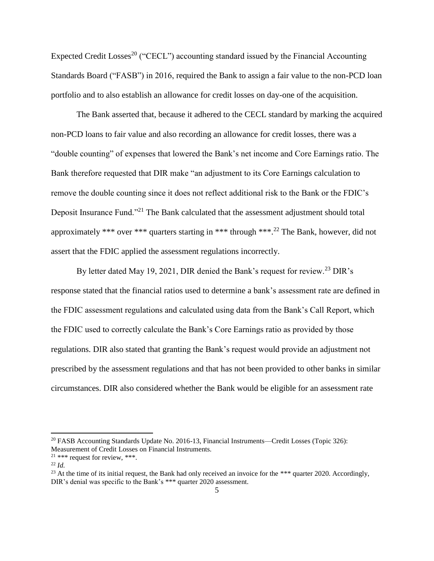Expected Credit Losses<sup>20</sup> ("CECL") accounting standard issued by the Financial Accounting Standards Board ("FASB") in 2016, required the Bank to assign a fair value to the non-PCD loan portfolio and to also establish an allowance for credit losses on day-one of the acquisition.

The Bank asserted that, because it adhered to the CECL standard by marking the acquired non-PCD loans to fair value and also recording an allowance for credit losses, there was a "double counting" of expenses that lowered the Bank's net income and Core Earnings ratio. The Bank therefore requested that DIR make "an adjustment to its Core Earnings calculation to remove the double counting since it does not reflect additional risk to the Bank or the FDIC's Deposit Insurance Fund."<sup>21</sup> The Bank calculated that the assessment adjustment should total approximately \*\*\* over \*\*\* quarters starting in \*\*\* through \*\*\*.<sup>22</sup> The Bank, however, did not assert that the FDIC applied the assessment regulations incorrectly.

By letter dated May 19, 2021, DIR denied the Bank's request for review.<sup>23</sup> DIR's response stated that the financial ratios used to determine a bank's assessment rate are defined in the FDIC assessment regulations and calculated using data from the Bank's Call Report, which the FDIC used to correctly calculate the Bank's Core Earnings ratio as provided by those regulations. DIR also stated that granting the Bank's request would provide an adjustment not prescribed by the assessment regulations and that has not been provided to other banks in similar circumstances. DIR also considered whether the Bank would be eligible for an assessment rate

 $\overline{a}$ 

<sup>20</sup> FASB Accounting Standards Update No. 2016-13, Financial Instruments—Credit Losses (Topic 326): Measurement of Credit Losses on Financial Instruments.

<sup>&</sup>lt;sup>21</sup> \*\*\* request for review, \*\*\*.

<sup>22</sup> *Id.*

<sup>&</sup>lt;sup>23</sup> At the time of its initial request, the Bank had only received an invoice for the \*\*\* quarter 2020. Accordingly, DIR's denial was specific to the Bank's \*\*\* quarter 2020 assessment.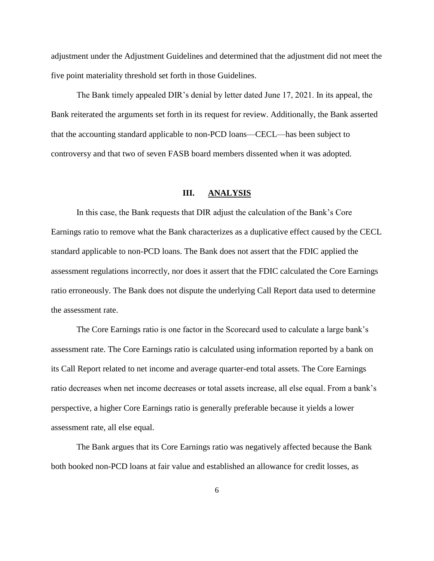adjustment under the Adjustment Guidelines and determined that the adjustment did not meet the five point materiality threshold set forth in those Guidelines.

The Bank timely appealed DIR's denial by letter dated June 17, 2021. In its appeal, the Bank reiterated the arguments set forth in its request for review. Additionally, the Bank asserted that the accounting standard applicable to non-PCD loans—CECL—has been subject to controversy and that two of seven FASB board members dissented when it was adopted.

#### **III. ANALYSIS**

In this case, the Bank requests that DIR adjust the calculation of the Bank's Core Earnings ratio to remove what the Bank characterizes as a duplicative effect caused by the CECL standard applicable to non-PCD loans. The Bank does not assert that the FDIC applied the assessment regulations incorrectly, nor does it assert that the FDIC calculated the Core Earnings ratio erroneously. The Bank does not dispute the underlying Call Report data used to determine the assessment rate.

The Core Earnings ratio is one factor in the Scorecard used to calculate a large bank's assessment rate. The Core Earnings ratio is calculated using information reported by a bank on its Call Report related to net income and average quarter-end total assets. The Core Earnings ratio decreases when net income decreases or total assets increase, all else equal. From a bank's perspective, a higher Core Earnings ratio is generally preferable because it yields a lower assessment rate, all else equal.

The Bank argues that its Core Earnings ratio was negatively affected because the Bank both booked non-PCD loans at fair value and established an allowance for credit losses, as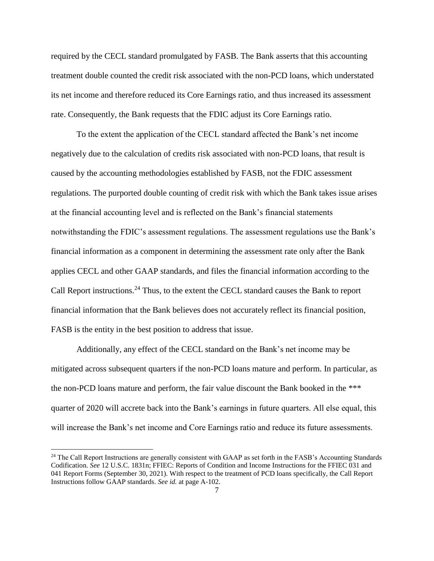required by the CECL standard promulgated by FASB. The Bank asserts that this accounting treatment double counted the credit risk associated with the non-PCD loans, which understated its net income and therefore reduced its Core Earnings ratio, and thus increased its assessment rate. Consequently, the Bank requests that the FDIC adjust its Core Earnings ratio.

To the extent the application of the CECL standard affected the Bank's net income negatively due to the calculation of credits risk associated with non-PCD loans, that result is caused by the accounting methodologies established by FASB, not the FDIC assessment regulations. The purported double counting of credit risk with which the Bank takes issue arises at the financial accounting level and is reflected on the Bank's financial statements notwithstanding the FDIC's assessment regulations. The assessment regulations use the Bank's financial information as a component in determining the assessment rate only after the Bank applies CECL and other GAAP standards, and files the financial information according to the Call Report instructions.<sup>24</sup> Thus, to the extent the CECL standard causes the Bank to report financial information that the Bank believes does not accurately reflect its financial position, FASB is the entity in the best position to address that issue.

Additionally, any effect of the CECL standard on the Bank's net income may be mitigated across subsequent quarters if the non-PCD loans mature and perform. In particular, as the non-PCD loans mature and perform, the fair value discount the Bank booked in the \*\*\* quarter of 2020 will accrete back into the Bank's earnings in future quarters. All else equal, this will increase the Bank's net income and Core Earnings ratio and reduce its future assessments.

 $^{24}$  The Call Report Instructions are generally consistent with GAAP as set forth in the FASB's Accounting Standards Codification. *See* 12 U.S.C. 1831n; FFIEC: Reports of Condition and Income Instructions for the FFIEC 031 and 041 Report Forms (September 30, 2021). With respect to the treatment of PCD loans specifically, the Call Report Instructions follow GAAP standards. *See id.* at page A-102.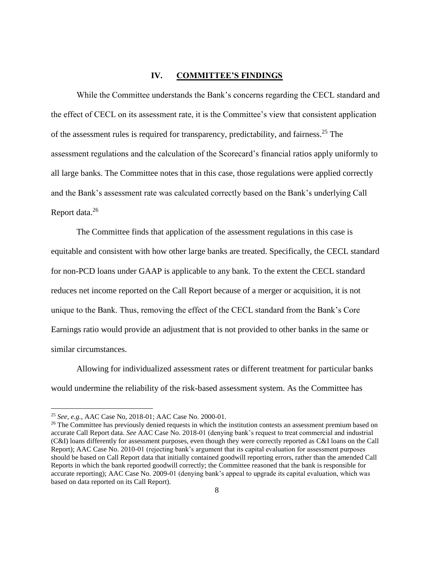## **IV. COMMITTEE'S FINDINGS**

While the Committee understands the Bank's concerns regarding the CECL standard and the effect of CECL on its assessment rate, it is the Committee's view that consistent application of the assessment rules is required for transparency, predictability, and fairness.<sup>25</sup> The assessment regulations and the calculation of the Scorecard's financial ratios apply uniformly to all large banks. The Committee notes that in this case, those regulations were applied correctly and the Bank's assessment rate was calculated correctly based on the Bank's underlying Call Report data.<sup>26</sup>

The Committee finds that application of the assessment regulations in this case is equitable and consistent with how other large banks are treated. Specifically, the CECL standard for non-PCD loans under GAAP is applicable to any bank. To the extent the CECL standard reduces net income reported on the Call Report because of a merger or acquisition, it is not unique to the Bank. Thus, removing the effect of the CECL standard from the Bank's Core Earnings ratio would provide an adjustment that is not provided to other banks in the same or similar circumstances.

Allowing for individualized assessment rates or different treatment for particular banks would undermine the reliability of the risk-based assessment system. As the Committee has

 $\overline{a}$ 

<sup>25</sup> *See, e.g.*, AAC Case No, 2018-01; AAC Case No. 2000-01.

<sup>&</sup>lt;sup>26</sup> The Committee has previously denied requests in which the institution contests an assessment premium based on accurate Call Report data. *See* AAC Case No. 2018-01 (denying bank's request to treat commercial and industrial (C&I) loans differently for assessment purposes, even though they were correctly reported as C&I loans on the Call Report); AAC Case No. 2010-01 (rejecting bank's argument that its capital evaluation for assessment purposes should be based on Call Report data that initially contained goodwill reporting errors, rather than the amended Call Reports in which the bank reported goodwill correctly; the Committee reasoned that the bank is responsible for accurate reporting); AAC Case No. 2009-01 (denying bank's appeal to upgrade its capital evaluation, which was based on data reported on its Call Report).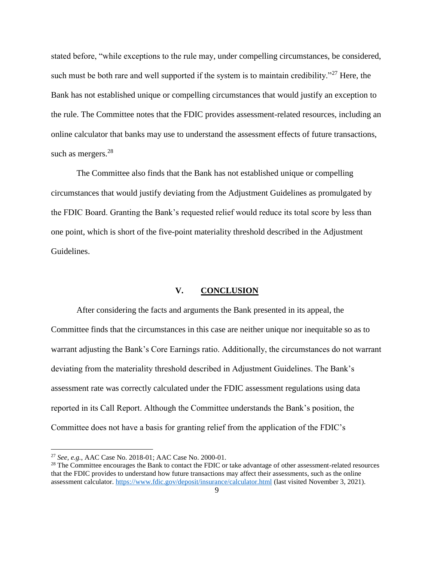stated before, "while exceptions to the rule may, under compelling circumstances, be considered, such must be both rare and well supported if the system is to maintain credibility."<sup>27</sup> Here, the Bank has not established unique or compelling circumstances that would justify an exception to the rule. The Committee notes that the FDIC provides assessment-related resources, including an online calculator that banks may use to understand the assessment effects of future transactions, such as mergers.<sup>28</sup>

The Committee also finds that the Bank has not established unique or compelling circumstances that would justify deviating from the Adjustment Guidelines as promulgated by the FDIC Board. Granting the Bank's requested relief would reduce its total score by less than one point, which is short of the five-point materiality threshold described in the Adjustment Guidelines.

#### **V. CONCLUSION**

After considering the facts and arguments the Bank presented in its appeal, the Committee finds that the circumstances in this case are neither unique nor inequitable so as to warrant adjusting the Bank's Core Earnings ratio. Additionally, the circumstances do not warrant deviating from the materiality threshold described in Adjustment Guidelines. The Bank's assessment rate was correctly calculated under the FDIC assessment regulations using data reported in its Call Report. Although the Committee understands the Bank's position, the Committee does not have a basis for granting relief from the application of the FDIC's

<sup>27</sup> *See, e.g.*, AAC Case No. 2018-01; AAC Case No. 2000-01.

<sup>&</sup>lt;sup>28</sup> The Committee encourages the Bank to contact the FDIC or take advantage of other assessment-related resources that the FDIC provides to understand how future transactions may affect their assessments, such as the online assessment calculator.<https://www.fdic.gov/deposit/insurance/calculator.html> (last visited November 3, 2021).